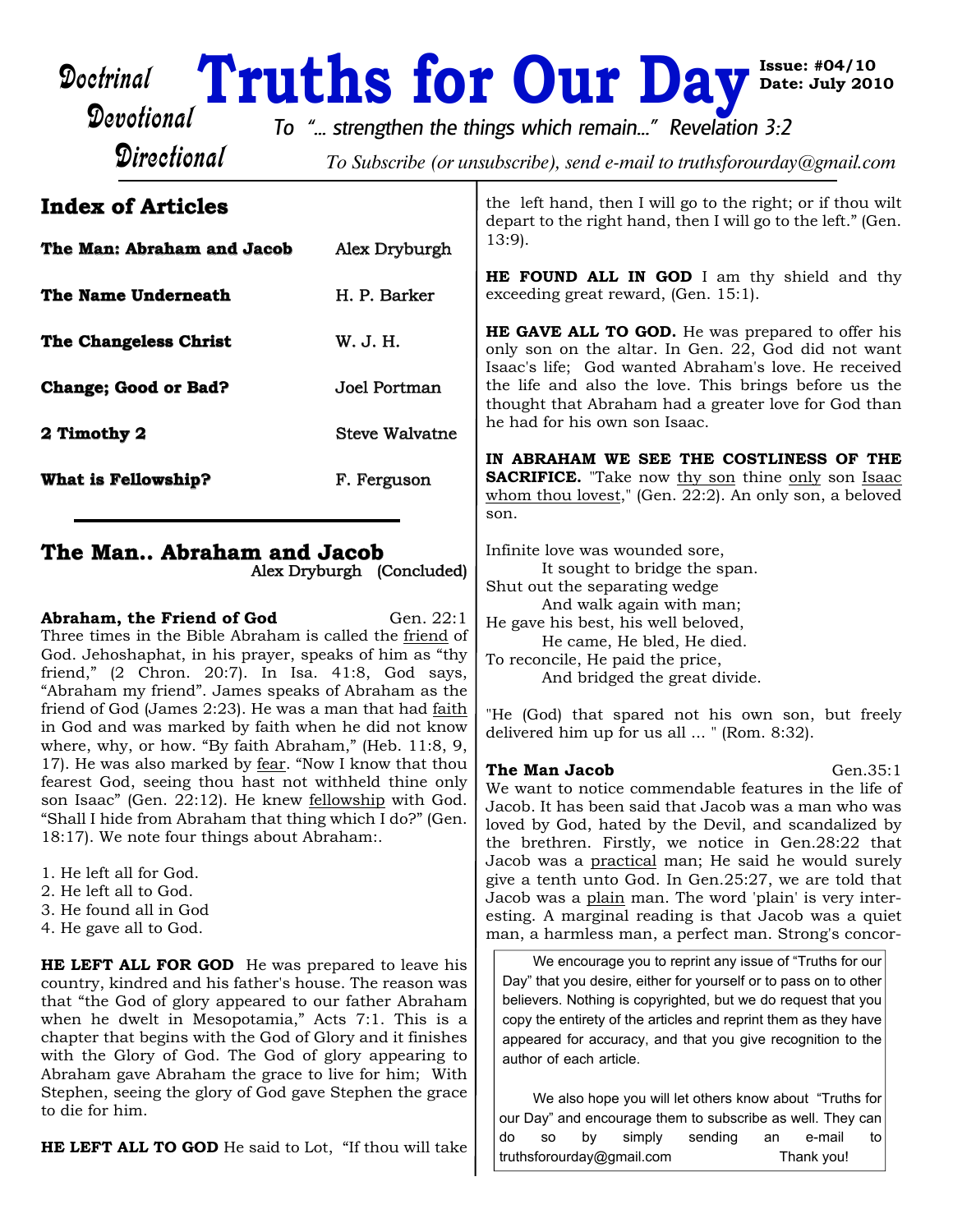# Doctrinal **Truths for Our Day**<sup>Issu</sup><br>Devotional *To "...* strengthen the things which remain..." Revelation 3:2

**Directional** 

To Subscribe (or unsubscribe), send e-mail to truthsforourday@gmail.com

# **Index of Articles**

| The Man: Abraham and Jacob  | Alex Dryburgh  |
|-----------------------------|----------------|
| The Name Underneath         | H. P. Barker   |
| The Changeless Christ       | W. J. H.       |
| <b>Change; Good or Bad?</b> | Joel Portman   |
| 2 Timothy 2                 | Steve Walvatne |
| What is Fellowship?         | F. Ferguson    |

# **The Man.. Abraham and Jacob**

Alex Dryburgh (Concluded)

**Abraham, the Friend of God** Gen. 22:1 Three times in the Bible Abraham is called the friend of God. Jehoshaphat, in his prayer, speaks of him as "thy friend," (2 Chron. 20:7). In Isa. 41:8, God says, "Abraham my friend". James speaks of Abraham as the friend of God (James 2:23). He was a man that had faith in God and was marked by faith when he did not know where, why, or how. "By faith Abraham," (Heb. 11:8, 9, 17). He was also marked by fear. "Now I know that thou fearest God, seeing thou hast not withheld thine only son Isaac" (Gen. 22:12). He knew fellowship with God. "Shall I hide from Abraham that thing which I do?" (Gen. 18:17). We note four things about Abraham:.

- 1. He left all for God.
- 2. He left all to God.
- 3. He found all in God
- 4. He gave all to God.

**HE LEFT ALL FOR GOD** He was prepared to leave his country, kindred and his father's house. The reason was that "the God of glory appeared to our father Abraham when he dwelt in Mesopotamia," Acts 7:1. This is a chapter that begins with the God of Glory and it finishes with the Glory of God. The God of glory appearing to Abraham gave Abraham the grace to live for him; With Stephen, seeing the glory of God gave Stephen the grace to die for him.

**HE LEFT ALL TO GOD** He said to Lot, "If thou will take

the left hand, then I will go to the right; or if thou wilt depart to the right hand, then I will go to the left." (Gen. 13:9).

**Issue: #04/10 Date: July 2010**

**HE FOUND ALL IN GOD** I am thy shield and thy exceeding great reward, (Gen. 15:1).

**HE GAVE ALL TO GOD.** He was prepared to offer his only son on the altar. In Gen. 22, God did not want Isaac's life; God wanted Abraham's love. He received the life and also the love. This brings before us the thought that Abraham had a greater love for God than he had for his own son Isaac.

**IN ABRAHAM WE SEE THE COSTLINESS OF THE SACRIFICE.** "Take now thy son thine only son Isaac whom thou lovest," (Gen. 22:2). An only son, a beloved son.

Infinite love was wounded sore, It sought to bridge the span. Shut out the separating wedge And walk again with man; He gave his best, his well beloved, He came, He bled, He died. To reconcile, He paid the price, And bridged the great divide.

"He (God) that spared not his own son, but freely delivered him up for us all ... " (Rom. 8:32).

# **The Man Jacob** Gen.35:1

We want to notice commendable features in the life of Jacob. It has been said that Jacob was a man who was loved by God, hated by the Devil, and scandalized by the brethren. Firstly, we notice in Gen.28:22 that Jacob was a practical man; He said he would surely give a tenth unto God. In Gen.25:27, we are told that Jacob was a plain man. The word 'plain' is very interesting. A marginal reading is that Jacob was a quiet man, a harmless man, a perfect man. Strong's concor-

We encourage you to reprint any issue of "Truths for our Day" that you desire, either for yourself or to pass on to other believers. Nothing is copyrighted, but we do request that you copy the entirety of the articles and reprint them as they have appeared for accuracy, and that you give recognition to the author of each article.

We also hope you will let others know about "Truths for our Day" and encourage them to subscribe as well. They can do so by simply sending an e-mail to truthsforourday@gmail.com Thank you!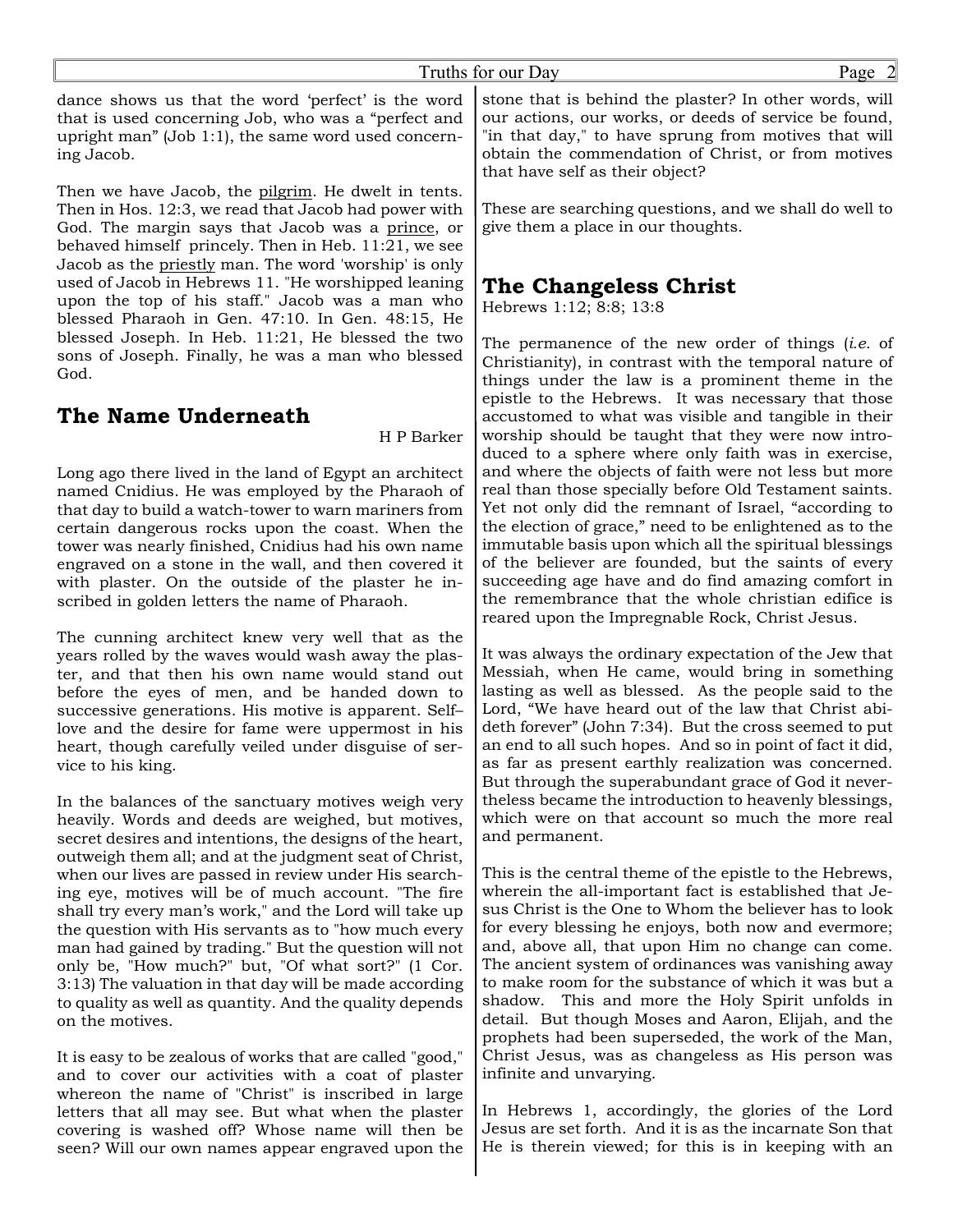dance shows us that the word 'perfect' is the word that is used concerning Job, who was a "perfect and upright man" (Job 1:1), the same word used concerning Jacob.

Then we have Jacob, the pilgrim. He dwelt in tents. Then in Hos. 12:3, we read that Jacob had power with God. The margin says that Jacob was a prince, or behaved himself princely. Then in Heb. 11:21, we see Jacob as the priestly man. The word 'worship' is only used of Jacob in Hebrews 11. "He worshipped leaning upon the top of his staff." Jacob was a man who blessed Pharaoh in Gen. 47:10. In Gen. 48:15, He blessed Joseph. In Heb. 11:21, He blessed the two sons of Joseph. Finally, he was a man who blessed God.

# **The Name Underneath**

H P Barker

Long ago there lived in the land of Egypt an architect named Cnidius. He was employed by the Pharaoh of that day to build a watch-tower to warn mariners from certain dangerous rocks upon the coast. When the tower was nearly finished, Cnidius had his own name engraved on a stone in the wall, and then covered it with plaster. On the outside of the plaster he inscribed in golden letters the name of Pharaoh.

The cunning architect knew very well that as the years rolled by the waves would wash away the plaster, and that then his own name would stand out before the eyes of men, and be handed down to successive generations. His motive is apparent. Self– love and the desire for fame were uppermost in his heart, though carefully veiled under disguise of service to his king.

In the balances of the sanctuary motives weigh very heavily. Words and deeds are weighed, but motives, secret desires and intentions, the designs of the heart, outweigh them all; and at the judgment seat of Christ, when our lives are passed in review under His searching eye, motives will be of much account. "The fire shall try every man's work," and the Lord will take up the question with His servants as to "how much every man had gained by trading." But the question will not only be, "How much?" but, "Of what sort?" (1 Cor. 3:13) The valuation in that day will be made according to quality as well as quantity. And the quality depends on the motives.

It is easy to be zealous of works that are called "good," and to cover our activities with a coat of plaster whereon the name of "Christ" is inscribed in large letters that all may see. But what when the plaster covering is washed off? Whose name will then be seen? Will our own names appear engraved upon the

stone that is behind the plaster? In other words, will our actions, our works, or deeds of service be found, "in that day," to have sprung from motives that will obtain the commendation of Christ, or from motives that have self as their object?

These are searching questions, and we shall do well to give them a place in our thoughts.

# **The Changeless Christ**

Hebrews 1:12; 8:8; 13:8

The permanence of the new order of things (*i.e.* of Christianity), in contrast with the temporal nature of things under the law is a prominent theme in the epistle to the Hebrews. It was necessary that those accustomed to what was visible and tangible in their worship should be taught that they were now introduced to a sphere where only faith was in exercise, and where the objects of faith were not less but more real than those specially before Old Testament saints. Yet not only did the remnant of Israel, "according to the election of grace," need to be enlightened as to the immutable basis upon which all the spiritual blessings of the believer are founded, but the saints of every succeeding age have and do find amazing comfort in the remembrance that the whole christian edifice is reared upon the Impregnable Rock, Christ Jesus.

It was always the ordinary expectation of the Jew that Messiah, when He came, would bring in something lasting as well as blessed. As the people said to the Lord, "We have heard out of the law that Christ abideth forever" (John 7:34). But the cross seemed to put an end to all such hopes. And so in point of fact it did, as far as present earthly realization was concerned. But through the superabundant grace of God it nevertheless became the introduction to heavenly blessings, which were on that account so much the more real and permanent.

This is the central theme of the epistle to the Hebrews, wherein the all-important fact is established that Jesus Christ is the One to Whom the believer has to look for every blessing he enjoys, both now and evermore; and, above all, that upon Him no change can come. The ancient system of ordinances was vanishing away to make room for the substance of which it was but a shadow. This and more the Holy Spirit unfolds in detail. But though Moses and Aaron, Elijah, and the prophets had been superseded, the work of the Man, Christ Jesus, was as changeless as His person was infinite and unvarying.

In Hebrews 1, accordingly, the glories of the Lord Jesus are set forth. And it is as the incarnate Son that He is therein viewed; for this is in keeping with an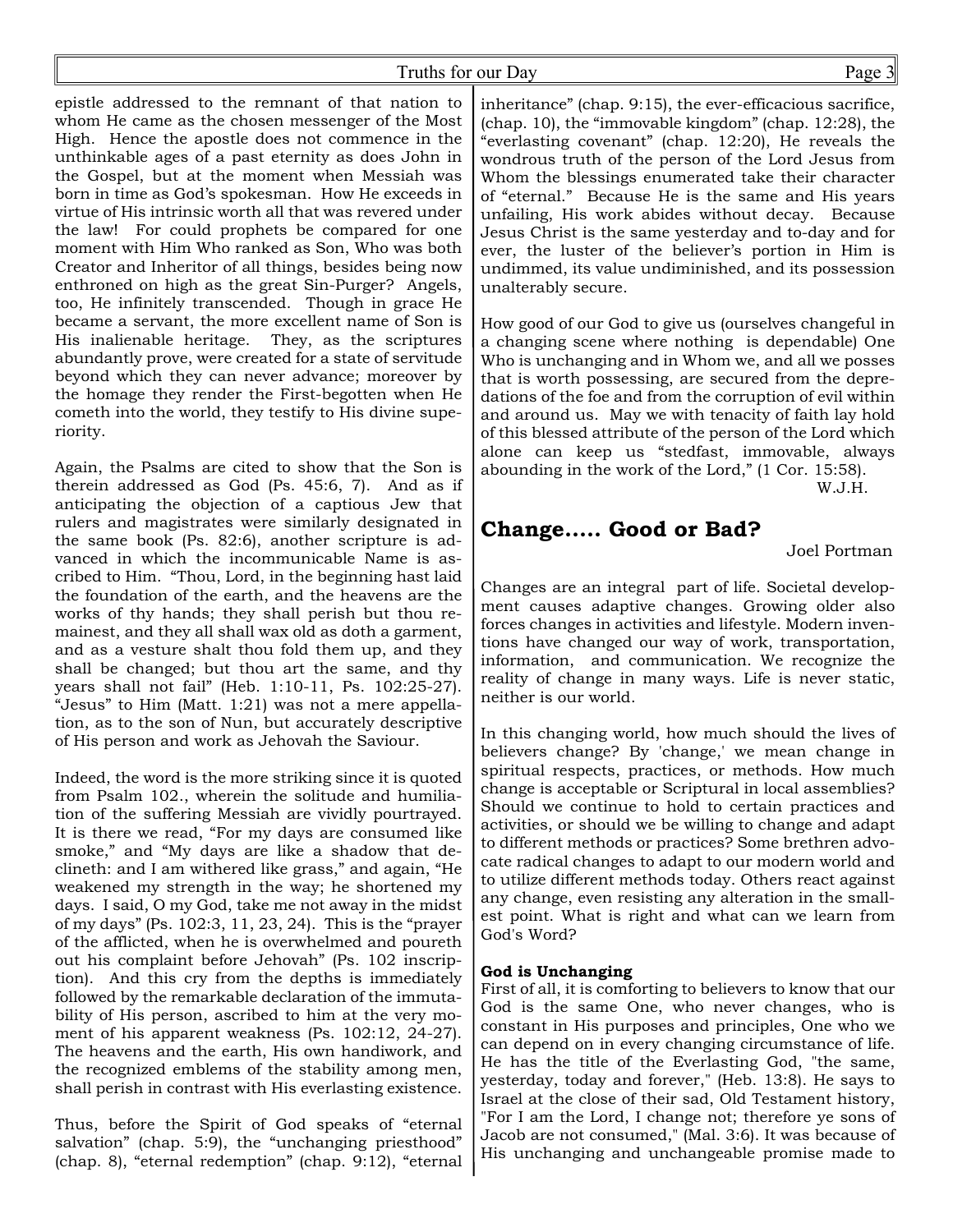epistle addressed to the remnant of that nation to whom He came as the chosen messenger of the Most High. Hence the apostle does not commence in the unthinkable ages of a past eternity as does John in the Gospel, but at the moment when Messiah was born in time as God's spokesman. How He exceeds in virtue of His intrinsic worth all that was revered under the law! For could prophets be compared for one moment with Him Who ranked as Son, Who was both Creator and Inheritor of all things, besides being now enthroned on high as the great Sin-Purger? Angels, too, He infinitely transcended. Though in grace He became a servant, the more excellent name of Son is His inalienable heritage. They, as the scriptures abundantly prove, were created for a state of servitude beyond which they can never advance; moreover by the homage they render the First-begotten when He cometh into the world, they testify to His divine superiority.

Again, the Psalms are cited to show that the Son is therein addressed as God (Ps. 45:6, 7). And as if anticipating the objection of a captious Jew that rulers and magistrates were similarly designated in the same book (Ps. 82:6), another scripture is advanced in which the incommunicable Name is ascribed to Him. "Thou, Lord, in the beginning hast laid the foundation of the earth, and the heavens are the works of thy hands; they shall perish but thou remainest, and they all shall wax old as doth a garment, and as a vesture shalt thou fold them up, and they shall be changed; but thou art the same, and thy years shall not fail" (Heb. 1:10-11, Ps. 102:25-27). "Jesus" to Him (Matt. 1:21) was not a mere appellation, as to the son of Nun, but accurately descriptive of His person and work as Jehovah the Saviour.

Indeed, the word is the more striking since it is quoted from Psalm 102., wherein the solitude and humiliation of the suffering Messiah are vividly pourtrayed. It is there we read, "For my days are consumed like smoke," and "My days are like a shadow that declineth: and I am withered like grass," and again, "He weakened my strength in the way; he shortened my days. I said, O my God, take me not away in the midst of my days" (Ps. 102:3, 11, 23, 24). This is the "prayer of the afflicted, when he is overwhelmed and poureth out his complaint before Jehovah" (Ps. 102 inscription). And this cry from the depths is immediately followed by the remarkable declaration of the immutability of His person, ascribed to him at the very moment of his apparent weakness (Ps. 102:12, 24-27). The heavens and the earth, His own handiwork, and the recognized emblems of the stability among men, shall perish in contrast with His everlasting existence.

Thus, before the Spirit of God speaks of "eternal salvation" (chap. 5:9), the "unchanging priesthood" (chap. 8), "eternal redemption" (chap. 9:12), "eternal inheritance" (chap. 9:15), the ever-efficacious sacrifice, (chap. 10), the "immovable kingdom" (chap. 12:28), the "everlasting covenant" (chap. 12:20), He reveals the wondrous truth of the person of the Lord Jesus from Whom the blessings enumerated take their character of "eternal." Because He is the same and His years unfailing, His work abides without decay. Because Jesus Christ is the same yesterday and to-day and for ever, the luster of the believer's portion in Him is undimmed, its value undiminished, and its possession unalterably secure.

How good of our God to give us (ourselves changeful in a changing scene where nothing is dependable) One Who is unchanging and in Whom we, and all we posses that is worth possessing, are secured from the depredations of the foe and from the corruption of evil within and around us. May we with tenacity of faith lay hold of this blessed attribute of the person of the Lord which alone can keep us "stedfast, immovable, always abounding in the work of the Lord," (1 Cor. 15:58).

W.J.H.

# **Change..... Good or Bad?**

Joel Portman

Changes are an integral part of life. Societal development causes adaptive changes. Growing older also forces changes in activities and lifestyle. Modern inventions have changed our way of work, transportation, information, and communication. We recognize the reality of change in many ways. Life is never static, neither is our world.

In this changing world, how much should the lives of believers change? By 'change,' we mean change in spiritual respects, practices, or methods. How much change is acceptable or Scriptural in local assemblies? Should we continue to hold to certain practices and activities, or should we be willing to change and adapt to different methods or practices? Some brethren advocate radical changes to adapt to our modern world and to utilize different methods today. Others react against any change, even resisting any alteration in the smallest point. What is right and what can we learn from God's Word?

#### **God is Unchanging**

First of all, it is comforting to believers to know that our God is the same One, who never changes, who is constant in His purposes and principles, One who we can depend on in every changing circumstance of life. He has the title of the Everlasting God, "the same, yesterday, today and forever," (Heb. 13:8). He says to Israel at the close of their sad, Old Testament history, "For I am the Lord, I change not; therefore ye sons of Jacob are not consumed," (Mal. 3:6). It was because of His unchanging and unchangeable promise made to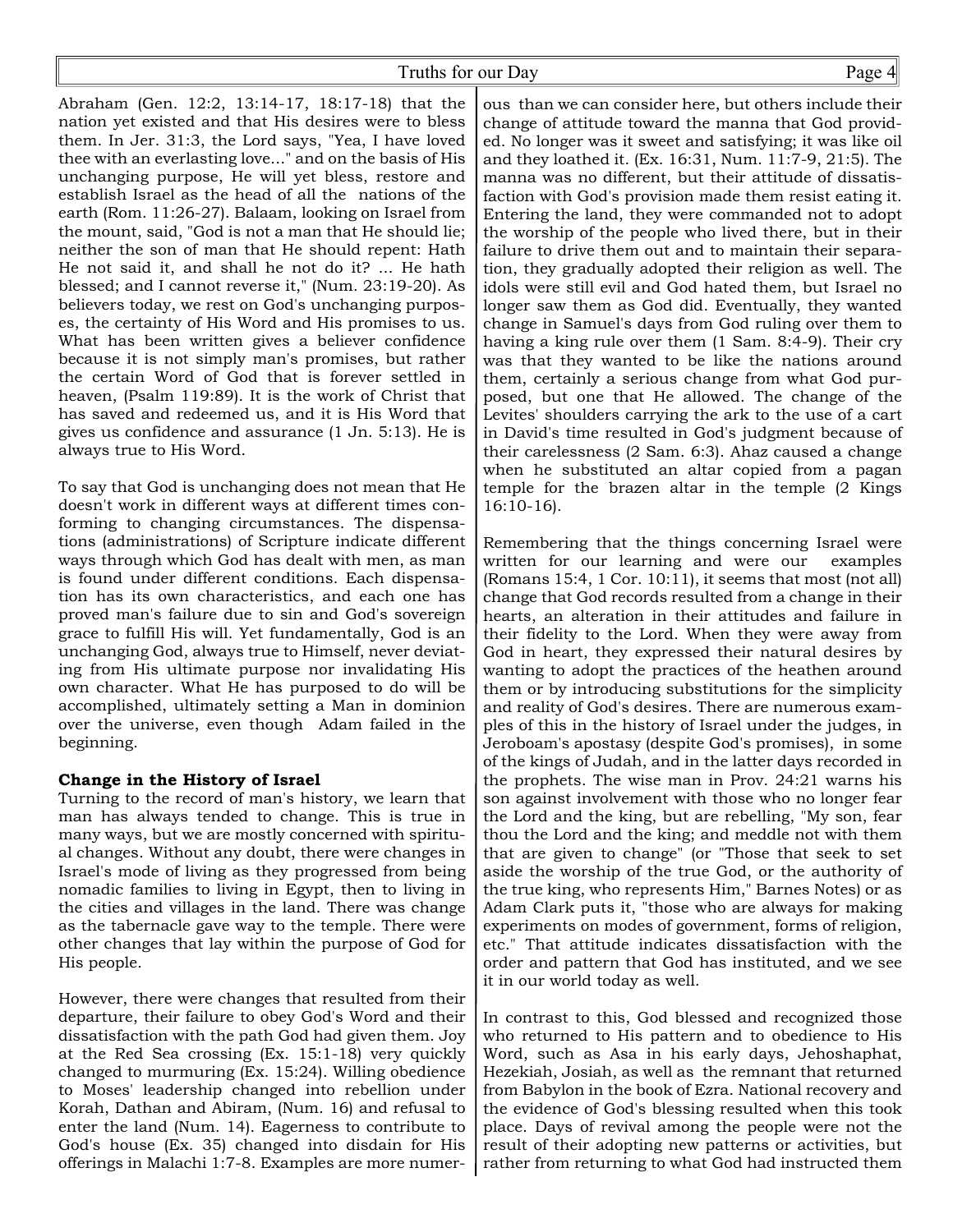Abraham (Gen. 12:2, 13:14-17, 18:17-18) that the nation yet existed and that His desires were to bless them. In Jer. 31:3, the Lord says, "Yea, I have loved thee with an everlasting love..." and on the basis of His unchanging purpose, He will yet bless, restore and establish Israel as the head of all the nations of the earth (Rom. 11:26-27). Balaam, looking on Israel from the mount, said, "God is not a man that He should lie; neither the son of man that He should repent: Hath He not said it, and shall he not do it? ... He hath blessed; and I cannot reverse it," (Num. 23:19-20). As believers today, we rest on God's unchanging purposes, the certainty of His Word and His promises to us. What has been written gives a believer confidence because it is not simply man's promises, but rather the certain Word of God that is forever settled in heaven, (Psalm 119:89). It is the work of Christ that has saved and redeemed us, and it is His Word that gives us confidence and assurance (1 Jn. 5:13). He is always true to His Word.

To say that God is unchanging does not mean that He doesn't work in different ways at different times conforming to changing circumstances. The dispensations (administrations) of Scripture indicate different ways through which God has dealt with men, as man is found under different conditions. Each dispensation has its own characteristics, and each one has proved man's failure due to sin and God's sovereign grace to fulfill His will. Yet fundamentally, God is an unchanging God, always true to Himself, never deviating from His ultimate purpose nor invalidating His own character. What He has purposed to do will be accomplished, ultimately setting a Man in dominion over the universe, even though Adam failed in the beginning.

#### **Change in the History of Israel**

Turning to the record of man's history, we learn that man has always tended to change. This is true in many ways, but we are mostly concerned with spiritual changes. Without any doubt, there were changes in Israel's mode of living as they progressed from being nomadic families to living in Egypt, then to living in the cities and villages in the land. There was change as the tabernacle gave way to the temple. There were other changes that lay within the purpose of God for His people.

However, there were changes that resulted from their departure, their failure to obey God's Word and their dissatisfaction with the path God had given them. Joy at the Red Sea crossing (Ex. 15:1-18) very quickly changed to murmuring (Ex. 15:24). Willing obedience to Moses' leadership changed into rebellion under Korah, Dathan and Abiram, (Num. 16) and refusal to enter the land (Num. 14). Eagerness to contribute to God's house (Ex. 35) changed into disdain for His offerings in Malachi 1:7-8. Examples are more numer-

ous than we can consider here, but others include their change of attitude toward the manna that God provided. No longer was it sweet and satisfying; it was like oil and they loathed it. (Ex. 16:31, Num. 11:7-9, 21:5). The manna was no different, but their attitude of dissatisfaction with God's provision made them resist eating it. Entering the land, they were commanded not to adopt the worship of the people who lived there, but in their failure to drive them out and to maintain their separation, they gradually adopted their religion as well. The idols were still evil and God hated them, but Israel no longer saw them as God did. Eventually, they wanted change in Samuel's days from God ruling over them to having a king rule over them (1 Sam. 8:4-9). Their cry was that they wanted to be like the nations around them, certainly a serious change from what God purposed, but one that He allowed. The change of the Levites' shoulders carrying the ark to the use of a cart in David's time resulted in God's judgment because of their carelessness (2 Sam. 6:3). Ahaz caused a change when he substituted an altar copied from a pagan temple for the brazen altar in the temple (2 Kings 16:10-16).

Remembering that the things concerning Israel were written for our learning and were our examples (Romans 15:4, 1 Cor. 10:11), it seems that most (not all) change that God records resulted from a change in their hearts, an alteration in their attitudes and failure in their fidelity to the Lord. When they were away from God in heart, they expressed their natural desires by wanting to adopt the practices of the heathen around them or by introducing substitutions for the simplicity and reality of God's desires. There are numerous examples of this in the history of Israel under the judges, in Jeroboam's apostasy (despite God's promises), in some of the kings of Judah, and in the latter days recorded in the prophets. The wise man in Prov. 24:21 warns his son against involvement with those who no longer fear the Lord and the king, but are rebelling, "My son, fear thou the Lord and the king; and meddle not with them that are given to change" (or "Those that seek to set aside the worship of the true God, or the authority of the true king, who represents Him," Barnes Notes) or as Adam Clark puts it, "those who are always for making experiments on modes of government, forms of religion, etc." That attitude indicates dissatisfaction with the order and pattern that God has instituted, and we see it in our world today as well.

In contrast to this, God blessed and recognized those who returned to His pattern and to obedience to His Word, such as Asa in his early days, Jehoshaphat, Hezekiah, Josiah, as well as the remnant that returned from Babylon in the book of Ezra. National recovery and the evidence of God's blessing resulted when this took place. Days of revival among the people were not the result of their adopting new patterns or activities, but rather from returning to what God had instructed them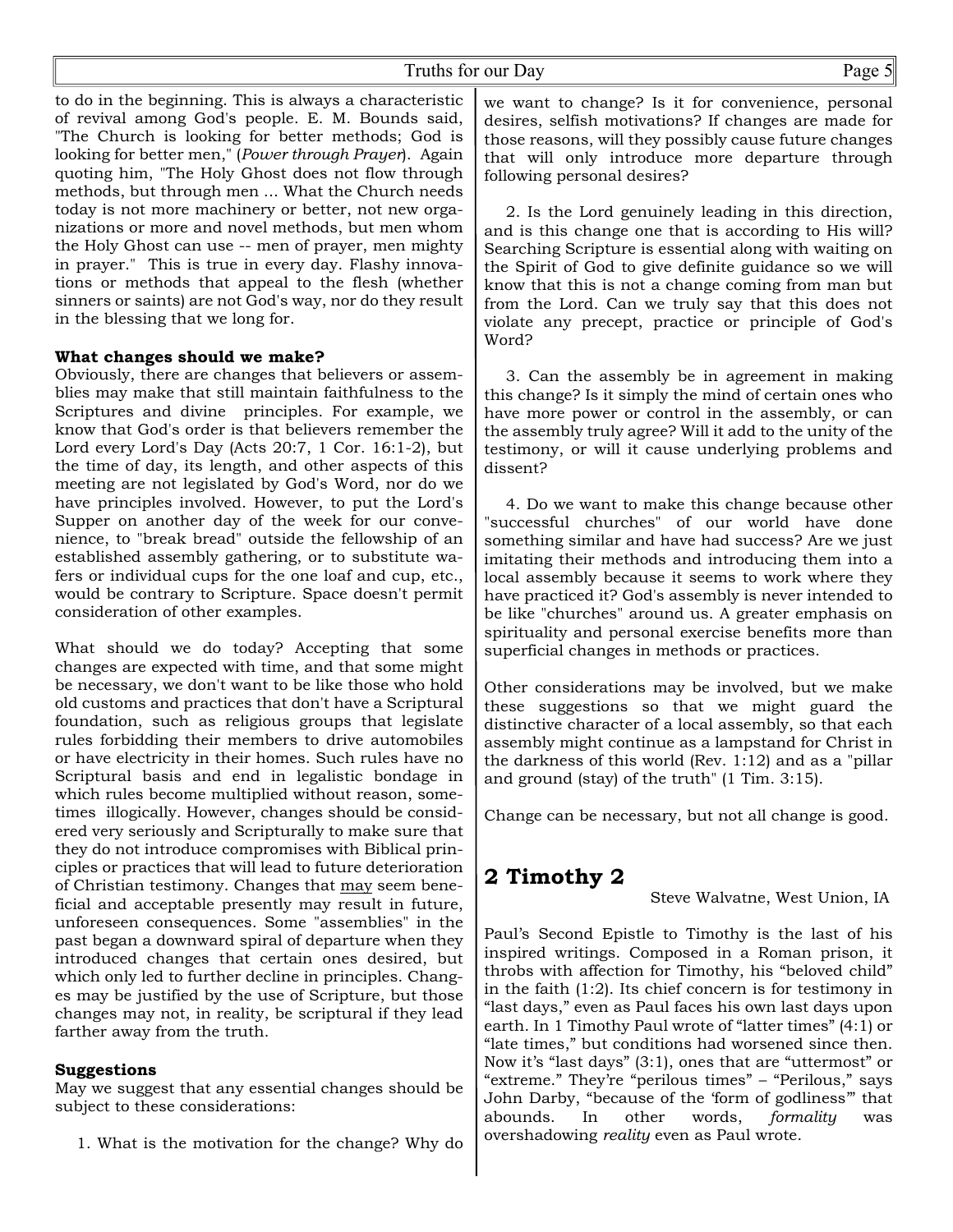to do in the beginning. This is always a characteristic of revival among God's people. E. M. Bounds said, "The Church is looking for better methods; God is looking for better men," (*Power through Prayer*). Again quoting him, "The Holy Ghost does not flow through methods, but through men ... What the Church needs today is not more machinery or better, not new organizations or more and novel methods, but men whom the Holy Ghost can use -- men of prayer, men mighty in prayer." This is true in every day. Flashy innovations or methods that appeal to the flesh (whether sinners or saints) are not God's way, nor do they result in the blessing that we long for.

#### **What changes should we make?**

Obviously, there are changes that believers or assemblies may make that still maintain faithfulness to the Scriptures and divine principles. For example, we know that God's order is that believers remember the Lord every Lord's Day (Acts 20:7, 1 Cor. 16:1-2), but the time of day, its length, and other aspects of this meeting are not legislated by God's Word, nor do we have principles involved. However, to put the Lord's Supper on another day of the week for our convenience, to "break bread" outside the fellowship of an established assembly gathering, or to substitute wafers or individual cups for the one loaf and cup, etc., would be contrary to Scripture. Space doesn't permit consideration of other examples.

What should we do today? Accepting that some changes are expected with time, and that some might be necessary, we don't want to be like those who hold old customs and practices that don't have a Scriptural foundation, such as religious groups that legislate rules forbidding their members to drive automobiles or have electricity in their homes. Such rules have no Scriptural basis and end in legalistic bondage in which rules become multiplied without reason, sometimes illogically. However, changes should be considered very seriously and Scripturally to make sure that they do not introduce compromises with Biblical principles or practices that will lead to future deterioration of Christian testimony. Changes that may seem beneficial and acceptable presently may result in future, unforeseen consequences. Some "assemblies" in the past began a downward spiral of departure when they introduced changes that certain ones desired, but which only led to further decline in principles. Changes may be justified by the use of Scripture, but those changes may not, in reality, be scriptural if they lead farther away from the truth.

#### **Suggestions**

May we suggest that any essential changes should be subject to these considerations:

1. What is the motivation for the change? Why do

we want to change? Is it for convenience, personal desires, selfish motivations? If changes are made for those reasons, will they possibly cause future changes that will only introduce more departure through following personal desires?

 2. Is the Lord genuinely leading in this direction, and is this change one that is according to His will? Searching Scripture is essential along with waiting on the Spirit of God to give definite guidance so we will know that this is not a change coming from man but from the Lord. Can we truly say that this does not violate any precept, practice or principle of God's Word?

 3. Can the assembly be in agreement in making this change? Is it simply the mind of certain ones who have more power or control in the assembly, or can the assembly truly agree? Will it add to the unity of the testimony, or will it cause underlying problems and dissent?

 4. Do we want to make this change because other "successful churches" of our world have done something similar and have had success? Are we just imitating their methods and introducing them into a local assembly because it seems to work where they have practiced it? God's assembly is never intended to be like "churches" around us. A greater emphasis on spirituality and personal exercise benefits more than superficial changes in methods or practices.

Other considerations may be involved, but we make these suggestions so that we might guard the distinctive character of a local assembly, so that each assembly might continue as a lampstand for Christ in the darkness of this world (Rev. 1:12) and as a "pillar and ground (stay) of the truth" (1 Tim. 3:15).

Change can be necessary, but not all change is good.

# **2 Timothy 2**

Steve Walvatne, West Union, IA

Paul's Second Epistle to Timothy is the last of his inspired writings. Composed in a Roman prison, it throbs with affection for Timothy, his "beloved child" in the faith (1:2). Its chief concern is for testimony in "last days," even as Paul faces his own last days upon earth. In 1 Timothy Paul wrote of "latter times" (4:1) or "late times," but conditions had worsened since then. Now it's "last days" (3:1), ones that are "uttermost" or "extreme." They're "perilous times" – "Perilous," says John Darby, "because of the 'form of godliness'" that abounds. In other words, *formality* was overshadowing *reality* even as Paul wrote.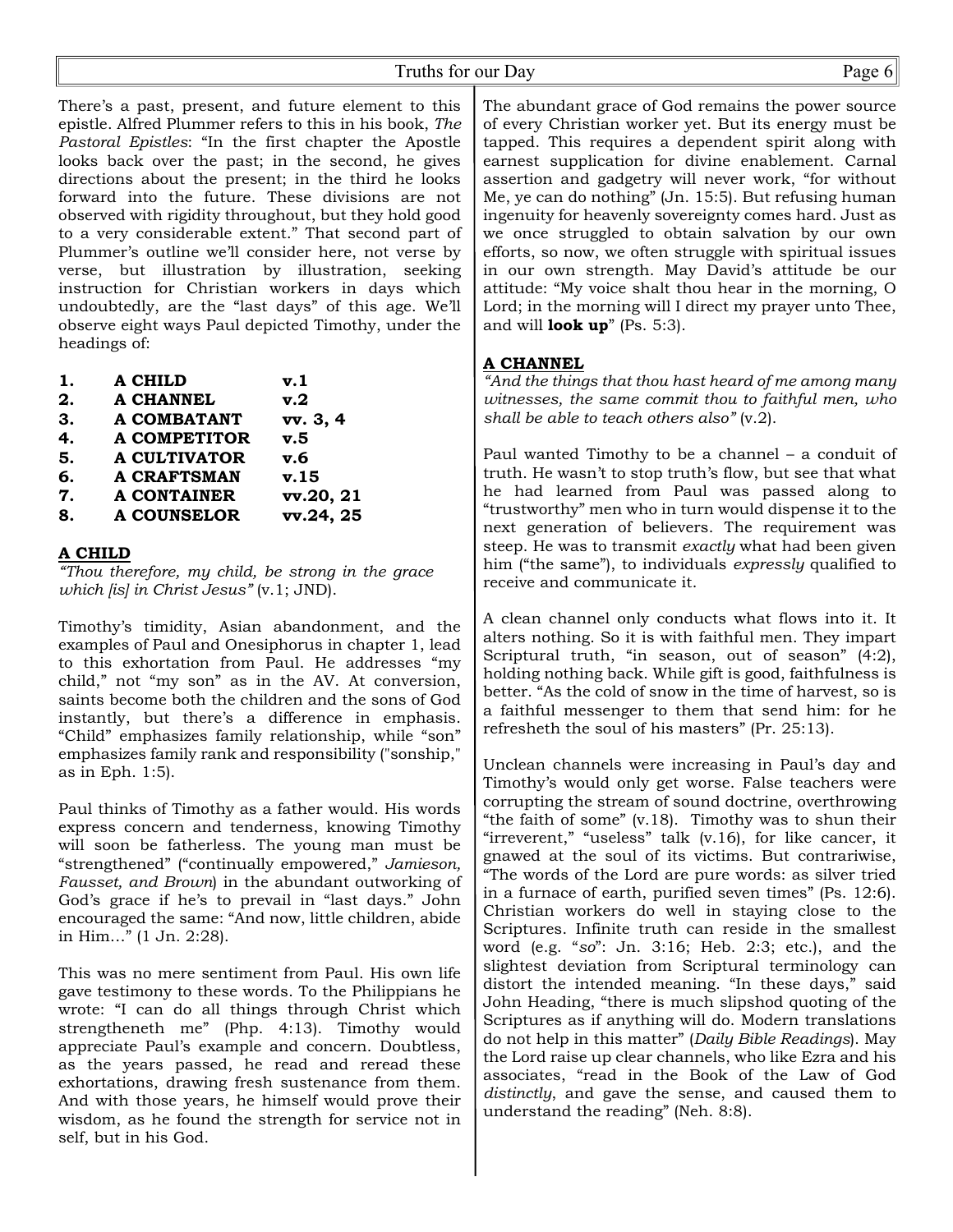There's a past, present, and future element to this epistle. Alfred Plummer refers to this in his book, *The Pastoral Epistles*: "In the first chapter the Apostle looks back over the past; in the second, he gives directions about the present; in the third he looks forward into the future. These divisions are not observed with rigidity throughout, but they hold good to a very considerable extent." That second part of Plummer's outline we'll consider here, not verse by verse, but illustration by illustration, seeking instruction for Christian workers in days which undoubtedly, are the "last days" of this age. We'll observe eight ways Paul depicted Timothy, under the headings of:

| 1. | <b>A CHILD</b>      | $\mathbf{v}.1$ |
|----|---------------------|----------------|
| 2. | A CHANNEL           | v.2            |
| 3. | <b>A COMBATANT</b>  | vv. 3, 4       |
| 4. | <b>A COMPETITOR</b> | v.5            |
| 5. | <b>A CULTIVATOR</b> | v.6            |
| 6. | <b>A CRAFTSMAN</b>  | v.15           |
| 7. | <b>A CONTAINER</b>  | vv.20, 21      |
| 8. | <b>A COUNSELOR</b>  | vv.24, 25      |
|    |                     |                |

#### **A CHILD**

*"Thou therefore, my child, be strong in the grace which [is] in Christ Jesus"* (v.1; JND).

Timothy's timidity, Asian abandonment, and the examples of Paul and Onesiphorus in chapter 1, lead to this exhortation from Paul. He addresses "my child," not "my son" as in the AV. At conversion, saints become both the children and the sons of God instantly, but there's a difference in emphasis. "Child" emphasizes family relationship, while "son" emphasizes family rank and responsibility ("sonship," as in Eph. 1:5).

Paul thinks of Timothy as a father would. His words express concern and tenderness, knowing Timothy will soon be fatherless. The young man must be "strengthened" ("continually empowered," *Jamieson, Fausset, and Brown*) in the abundant outworking of God's grace if he's to prevail in "last days." John encouraged the same: "And now, little children, abide in Him…" (1 Jn. 2:28).

This was no mere sentiment from Paul. His own life gave testimony to these words. To the Philippians he wrote: "I can do all things through Christ which strengtheneth me" (Php. 4:13). Timothy would appreciate Paul's example and concern. Doubtless, as the years passed, he read and reread these exhortations, drawing fresh sustenance from them. And with those years, he himself would prove their wisdom, as he found the strength for service not in self, but in his God.

The abundant grace of God remains the power source of every Christian worker yet. But its energy must be tapped. This requires a dependent spirit along with earnest supplication for divine enablement. Carnal assertion and gadgetry will never work, "for without Me, ye can do nothing" (Jn. 15:5). But refusing human ingenuity for heavenly sovereignty comes hard. Just as we once struggled to obtain salvation by our own efforts, so now, we often struggle with spiritual issues in our own strength. May David's attitude be our attitude: "My voice shalt thou hear in the morning, O Lord; in the morning will I direct my prayer unto Thee, and will **look up**" (Ps. 5:3).

#### **A CHANNEL**

*"And the things that thou hast heard of me among many witnesses, the same commit thou to faithful men, who shall be able to teach others also"* (v.2).

Paul wanted Timothy to be a channel – a conduit of truth. He wasn't to stop truth's flow, but see that what he had learned from Paul was passed along to "trustworthy" men who in turn would dispense it to the next generation of believers. The requirement was steep. He was to transmit *exactly* what had been given him ("the same"), to individuals *expressly* qualified to receive and communicate it.

A clean channel only conducts what flows into it. It alters nothing. So it is with faithful men. They impart Scriptural truth, "in season, out of season" (4:2), holding nothing back. While gift is good, faithfulness is better. "As the cold of snow in the time of harvest, so is a faithful messenger to them that send him: for he refresheth the soul of his masters" (Pr. 25:13).

Unclean channels were increasing in Paul's day and Timothy's would only get worse. False teachers were corrupting the stream of sound doctrine, overthrowing "the faith of some" (v.18). Timothy was to shun their "irreverent," "useless" talk (v.16), for like cancer, it gnawed at the soul of its victims. But contrariwise, "The words of the Lord are pure words: as silver tried in a furnace of earth, purified seven times" (Ps. 12:6). Christian workers do well in staying close to the Scriptures. Infinite truth can reside in the smallest word (e.g. "*so*": Jn. 3:16; Heb. 2:3; etc.), and the slightest deviation from Scriptural terminology can distort the intended meaning. "In these days," said John Heading, "there is much slipshod quoting of the Scriptures as if anything will do. Modern translations do not help in this matter" (*Daily Bible Readings*). May the Lord raise up clear channels, who like Ezra and his associates, "read in the Book of the Law of God *distinctly*, and gave the sense, and caused them to understand the reading" (Neh. 8:8).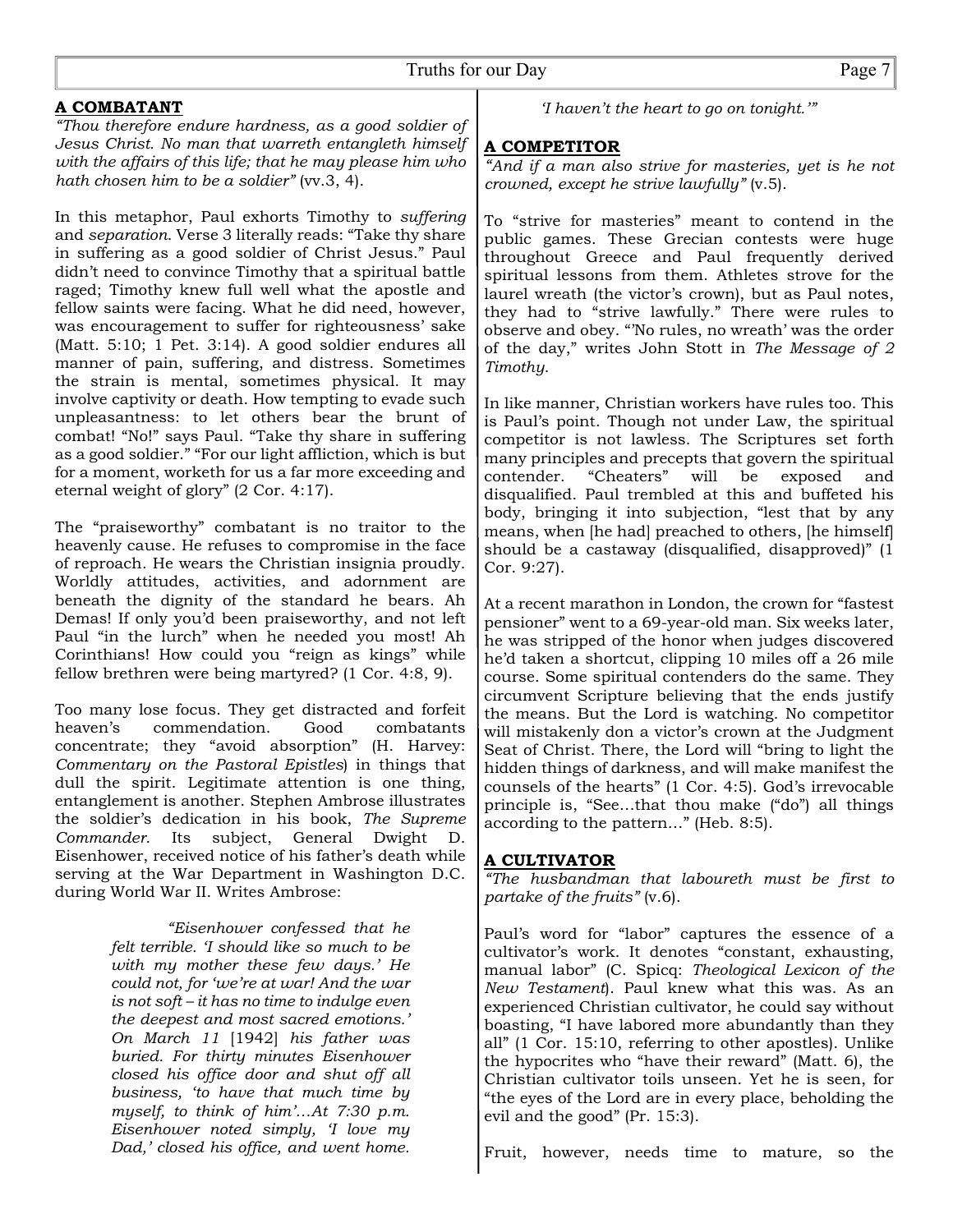### **A COMBATANT**

*"Thou therefore endure hardness, as a good soldier of Jesus Christ. No man that warreth entangleth himself with the affairs of this life; that he may please him who hath chosen him to be a soldier*" (vv.3, 4).

In this metaphor, Paul exhorts Timothy to *suffering* and *separation*. Verse 3 literally reads: "Take thy share in suffering as a good soldier of Christ Jesus." Paul didn't need to convince Timothy that a spiritual battle raged; Timothy knew full well what the apostle and fellow saints were facing. What he did need, however, was encouragement to suffer for righteousness' sake (Matt. 5:10; 1 Pet. 3:14). A good soldier endures all manner of pain, suffering, and distress. Sometimes the strain is mental, sometimes physical. It may involve captivity or death. How tempting to evade such unpleasantness: to let others bear the brunt of combat! "No!" says Paul. "Take thy share in suffering as a good soldier." "For our light affliction, which is but for a moment, worketh for us a far more exceeding and eternal weight of glory" (2 Cor. 4:17).

The "praiseworthy" combatant is no traitor to the heavenly cause. He refuses to compromise in the face of reproach. He wears the Christian insignia proudly. Worldly attitudes, activities, and adornment are beneath the dignity of the standard he bears. Ah Demas! If only you'd been praiseworthy, and not left Paul "in the lurch" when he needed you most! Ah Corinthians! How could you "reign as kings" while fellow brethren were being martyred? (1 Cor. 4:8, 9).

Too many lose focus. They get distracted and forfeit heaven's commendation. Good combatants concentrate; they "avoid absorption" (H. Harvey: *Commentary on the Pastoral Epistles*) in things that dull the spirit. Legitimate attention is one thing, entanglement is another. Stephen Ambrose illustrates the soldier's dedication in his book, *The Supreme Commander*. Its subject, General Dwight D. Eisenhower, received notice of his father's death while serving at the War Department in Washington D.C. during World War II. Writes Ambrose:

> *"Eisenhower confessed that he felt terrible. 'I should like so much to be with my mother these few days.' He could not, for 'we're at war! And the war is not soft – it has no time to indulge even the deepest and most sacred emotions.' On March 11* [1942] *his father was buried. For thirty minutes Eisenhower closed his office door and shut off all business, 'to have that much time by myself, to think of him'…At 7:30 p.m. Eisenhower noted simply, 'I love my Dad,' closed his office, and went home.*

*'I haven't the heart to go on tonight.'"*

#### **A COMPETITOR**

*"And if a man also strive for masteries, yet is he not crowned, except he strive lawfully"* (v.5).

To "strive for masteries" meant to contend in the public games. These Grecian contests were huge throughout Greece and Paul frequently derived spiritual lessons from them. Athletes strove for the laurel wreath (the victor's crown), but as Paul notes, they had to "strive lawfully." There were rules to observe and obey. "'No rules, no wreath' was the order of the day," writes John Stott in *The Message of 2 Timothy*.

In like manner, Christian workers have rules too. This is Paul's point. Though not under Law, the spiritual competitor is not lawless. The Scriptures set forth many principles and precepts that govern the spiritual contender. "Cheaters" will be exposed and disqualified. Paul trembled at this and buffeted his body, bringing it into subjection, "lest that by any means, when [he had] preached to others, [he himself] should be a castaway (disqualified, disapproved)" (1 Cor. 9:27).

At a recent marathon in London, the crown for "fastest pensioner" went to a 69-year-old man. Six weeks later, he was stripped of the honor when judges discovered he'd taken a shortcut, clipping 10 miles off a 26 mile course. Some spiritual contenders do the same. They circumvent Scripture believing that the ends justify the means. But the Lord is watching. No competitor will mistakenly don a victor's crown at the Judgment Seat of Christ. There, the Lord will "bring to light the hidden things of darkness, and will make manifest the counsels of the hearts" (1 Cor. 4:5). God's irrevocable principle is, "See…that thou make ("do") all things according to the pattern…" (Heb. 8:5).

#### **A CULTIVATOR**

*"The husbandman that laboureth must be first to partake of the fruits"* (v.6).

Paul's word for "labor" captures the essence of a cultivator's work. It denotes "constant, exhausting, manual labor" (C. Spicq: *Theological Lexicon of the New Testament*). Paul knew what this was. As an experienced Christian cultivator, he could say without boasting, "I have labored more abundantly than they all" (1 Cor. 15:10, referring to other apostles). Unlike the hypocrites who "have their reward" (Matt. 6), the Christian cultivator toils unseen. Yet he is seen, for "the eyes of the Lord are in every place, beholding the evil and the good" (Pr. 15:3).

Fruit, however, needs time to mature, so the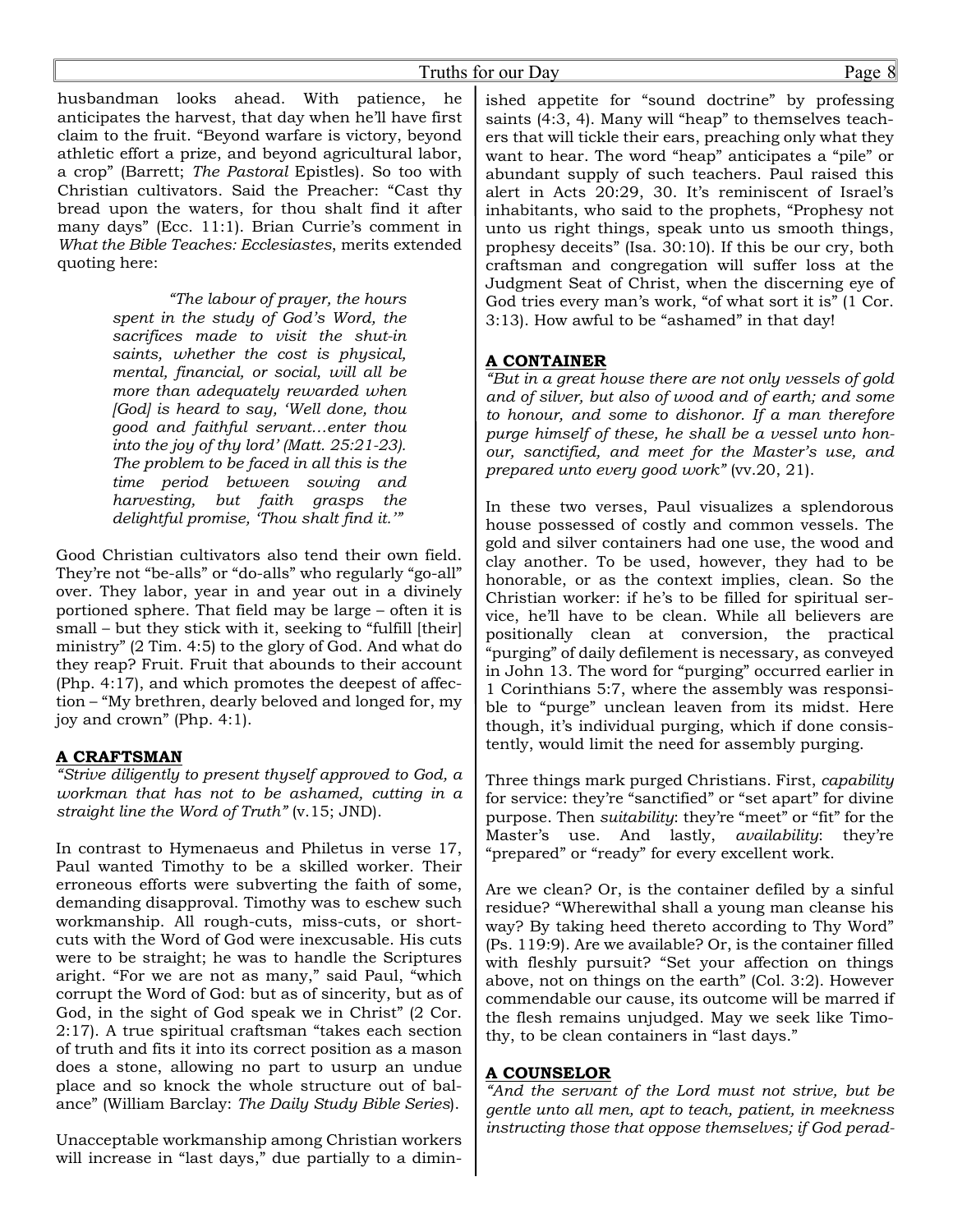husbandman looks ahead. With patience, he anticipates the harvest, that day when he'll have first claim to the fruit. "Beyond warfare is victory, beyond athletic effort a prize, and beyond agricultural labor, a crop" (Barrett; *The Pastoral* Epistles). So too with Christian cultivators. Said the Preacher: "Cast thy bread upon the waters, for thou shalt find it after many days" (Ecc. 11:1). Brian Currie's comment in *What the Bible Teaches: Ecclesiastes*, merits extended quoting here:

> *"The labour of prayer, the hours spent in the study of God's Word, the sacrifices made to visit the shut-in saints, whether the cost is physical, mental, financial, or social, will all be more than adequately rewarded when [God] is heard to say, 'Well done, thou good and faithful servant…enter thou into the joy of thy lord' (Matt. 25:21-23). The problem to be faced in all this is the time period between sowing and harvesting, but faith grasps the delightful promise, 'Thou shalt find it.'"*

Good Christian cultivators also tend their own field. They're not "be-alls" or "do-alls" who regularly "go-all" over. They labor, year in and year out in a divinely portioned sphere. That field may be large – often it is small – but they stick with it, seeking to "fulfill [their] ministry" (2 Tim. 4:5) to the glory of God. And what do they reap? Fruit. Fruit that abounds to their account (Php. 4:17), and which promotes the deepest of affection – "My brethren, dearly beloved and longed for, my joy and crown" (Php. 4:1).

#### **A CRAFTSMAN**

*"Strive diligently to present thyself approved to God, a workman that has not to be ashamed, cutting in a straight line the Word of Truth"* (v.15; JND).

In contrast to Hymenaeus and Philetus in verse 17, Paul wanted Timothy to be a skilled worker. Their erroneous efforts were subverting the faith of some, demanding disapproval. Timothy was to eschew such workmanship. All rough-cuts, miss-cuts, or shortcuts with the Word of God were inexcusable. His cuts were to be straight; he was to handle the Scriptures aright. "For we are not as many," said Paul, "which corrupt the Word of God: but as of sincerity, but as of God, in the sight of God speak we in Christ" (2 Cor. 2:17). A true spiritual craftsman "takes each section of truth and fits it into its correct position as a mason does a stone, allowing no part to usurp an undue place and so knock the whole structure out of balance" (William Barclay: *The Daily Study Bible Series*).

Unacceptable workmanship among Christian workers will increase in "last days," due partially to a diminished appetite for "sound doctrine" by professing saints (4:3, 4). Many will "heap" to themselves teachers that will tickle their ears, preaching only what they want to hear. The word "heap" anticipates a "pile" or abundant supply of such teachers. Paul raised this alert in Acts 20:29, 30. It's reminiscent of Israel's inhabitants, who said to the prophets, "Prophesy not unto us right things, speak unto us smooth things, prophesy deceits" (Isa. 30:10). If this be our cry, both craftsman and congregation will suffer loss at the Judgment Seat of Christ, when the discerning eye of God tries every man's work, "of what sort it is" (1 Cor. 3:13). How awful to be "ashamed" in that day!

#### **A CONTAINER**

*"But in a great house there are not only vessels of gold and of silver, but also of wood and of earth; and some to honour, and some to dishonor. If a man therefore purge himself of these, he shall be a vessel unto honour, sanctified, and meet for the Master's use, and prepared unto every good work"* (vv.20, 21).

In these two verses, Paul visualizes a splendorous house possessed of costly and common vessels. The gold and silver containers had one use, the wood and clay another. To be used, however, they had to be honorable, or as the context implies, clean. So the Christian worker: if he's to be filled for spiritual service, he'll have to be clean. While all believers are positionally clean at conversion, the practical "purging" of daily defilement is necessary, as conveyed in John 13. The word for "purging" occurred earlier in 1 Corinthians 5:7, where the assembly was responsible to "purge" unclean leaven from its midst. Here though, it's individual purging, which if done consistently, would limit the need for assembly purging.

Three things mark purged Christians. First, *capability* for service: they're "sanctified" or "set apart" for divine purpose. Then *suitability*: they're "meet" or "fit" for the Master's use. And lastly, *availability*: they're "prepared" or "ready" for every excellent work.

Are we clean? Or, is the container defiled by a sinful residue? "Wherewithal shall a young man cleanse his way? By taking heed thereto according to Thy Word" (Ps. 119:9). Are we available? Or, is the container filled with fleshly pursuit? "Set your affection on things above, not on things on the earth" (Col. 3:2). However commendable our cause, its outcome will be marred if the flesh remains unjudged. May we seek like Timothy, to be clean containers in "last days."

#### **A COUNSELOR**

*"And the servant of the Lord must not strive, but be gentle unto all men, apt to teach, patient, in meekness instructing those that oppose themselves; if God perad-*